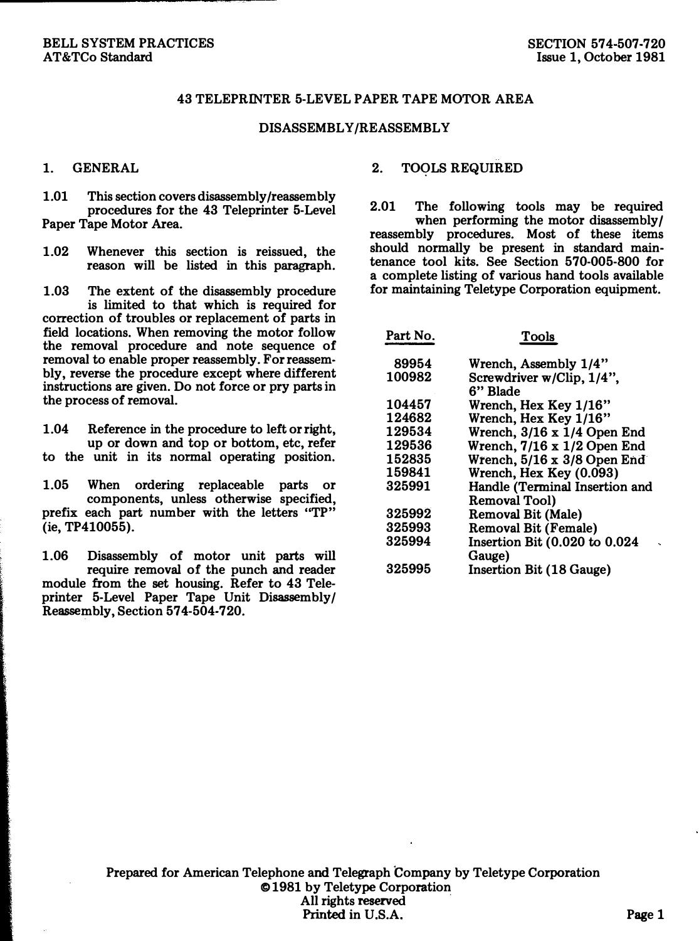## 43 TELEPRINTER 5-LEVEL PAPER TAPE MOTOR AREA

## DISASSEMBLY/REASSEMBLY

## 1. GENERAL

1.01 This section covers disassembly /reassembly procedures for the 43 Teleprinter 5-Level Paper Tape Motor Area.

1.02 Whenever this section is reissued, the reason will be listed in this paragraph.

1.03 The extent of the disassembly procedure is limited to that which is required for correction of troubles or replacement of parts in field locations. When removing the motor follow the removal procedure and note sequence of removal to enable proper reassembly. For reassembly, reverse the procedure except where different instructions are given. Do not force or pry parts in the process of removal.

1.04 Reference in the procedure to left or right, up or down and top or bottom, etc, refer to the unit in its normal operating position.

1.05 When ordering replaceable parts or components, unless otherwise specified, prefix each part number with the letters "TP" (ie, TP410055).

1.06 Disassembly of motor unit parts will require removal of the punch and reader module from the set housing. Refer to 43 Teleprinter 5-Level Paper Tape Unit Disassembly/ Reassembly, Section 574-504-720.

2. TOQLS REQUIRED

2.01 The following tools may be required when performing the motor disassembly/ reassembly procedures. Most of these items should normally be present in standard maintenance tool kits. See Section 570-005-800 for a complete listing of various hand tools available for maintaining Teletype Corporation equipment.

| Part No. | Tools                              |
|----------|------------------------------------|
| 89954    | Wrench, Assembly 1/4"              |
| 100982   | Screwdriver w/Clip, 1/4",          |
|          | 6" Blade                           |
| 104457   | Wrench. Hex Kev 1/16"              |
| 124682   | Wrench, Hex Key 1/16"              |
| 129534   | Wrench, $3/16 \times 1/4$ Open End |
| 129536   | Wrench, 7/16 x 1/2 Open End        |
| 152835   | Wrench, 5/16 x 3/8 Open End        |
| 159841   | Wrench, Hex Key (0.093)            |
| 325991   | Handle (Terminal Insertion and     |
|          | Removal Tool)                      |
| 325992   | Removal Bit (Male)                 |
| 325993   | <b>Removal Bit (Female)</b>        |
| 325994   | Insertion Bit (0.020 to 0.024      |
|          | Gauge)                             |
| 325995   | Insertion Bit (18 Gauge)           |

Prepared for American Telephone and Telegraph Company by Teletype Corporation © 1981 by Teletype Corporation All rights reserved Printed in U.S.A. Page 1